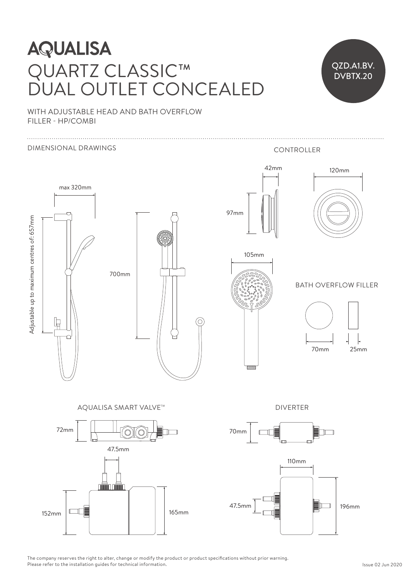## Adjustas centres: 520 **AQUALISA**  $\mathbb{R}^n$ QUARTZ CLASSIC™ DUAL OUTLET CONCEALED NIJTI ET CONICE



WITH ADJUSTABLE HEAD AND BATH OVERFLOW FILLER - HP/COMBI



The company reserves the right to alter, change or modify the product or product specifications without prior warning. Please refer to the installation guides for technical information.